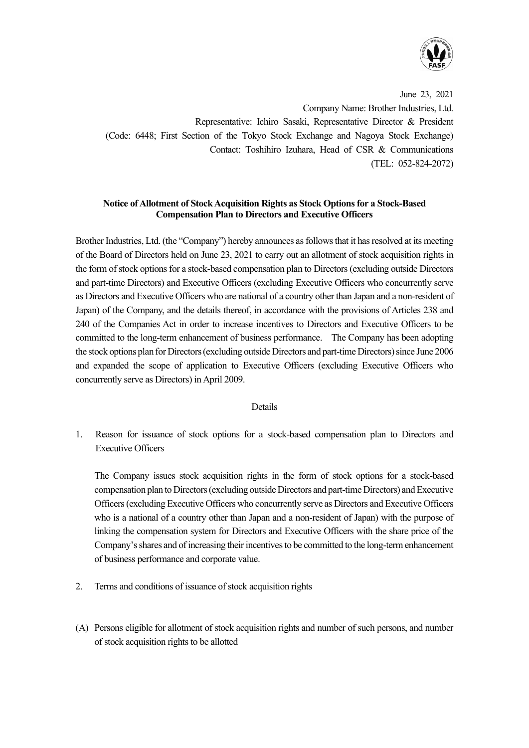

June 23, 2021 Company Name: Brother Industries, Ltd. Representative: Ichiro Sasaki, Representative Director & President (Code: 6448; First Section of the Tokyo Stock Exchange and Nagoya Stock Exchange) Contact: Toshihiro Izuhara, Head of CSR & Communications (TEL: 052-824-2072)

## **Notice of Allotment of Stock Acquisition Rights as Stock Options for a Stock-Based Compensation Plan to Directors and Executive Officers**

Brother Industries, Ltd. (the "Company") hereby announces as follows that it has resolved at its meeting of the Board of Directors held on June 23, 2021 to carry out an allotment of stock acquisition rights in the form of stock options for a stock-based compensation plan to Directors (excluding outside Directors and part-time Directors) and Executive Officers (excluding Executive Officers who concurrently serve as Directors and Executive Officers who are national of a country other than Japan and a non-resident of Japan) of the Company, and the details thereof, in accordance with the provisions of Articles 238 and 240 of the Companies Act in order to increase incentives to Directors and Executive Officers to be committed to the long-term enhancement of business performance. The Company has been adopting the stock options plan for Directors (excluding outside Directors and part-time Directors) since June 2006 and expanded the scope of application to Executive Officers (excluding Executive Officers who concurrently serve as Directors) inApril 2009.

## Details

1. Reason for issuance of stock options for a stock-based compensation plan to Directors and Executive Officers

The Company issues stock acquisition rights in the form of stock options for a stock-based compensation plan to Directors (excluding outside Directors and part-time Directors) and Executive Officers (excluding Executive Officers who concurrently serve as Directors and Executive Officers who is a national of a country other than Japan and a non-resident of Japan) with the purpose of linking the compensation system for Directors and Executive Officers with the share price of the Company's shares and of increasing their incentives to be committed to the long-term enhancement of business performance and corporate value.

- 2. Terms and conditions of issuance of stock acquisition rights
- (A) Persons eligible for allotment of stock acquisition rights and number of such persons, and number of stock acquisition rights to be allotted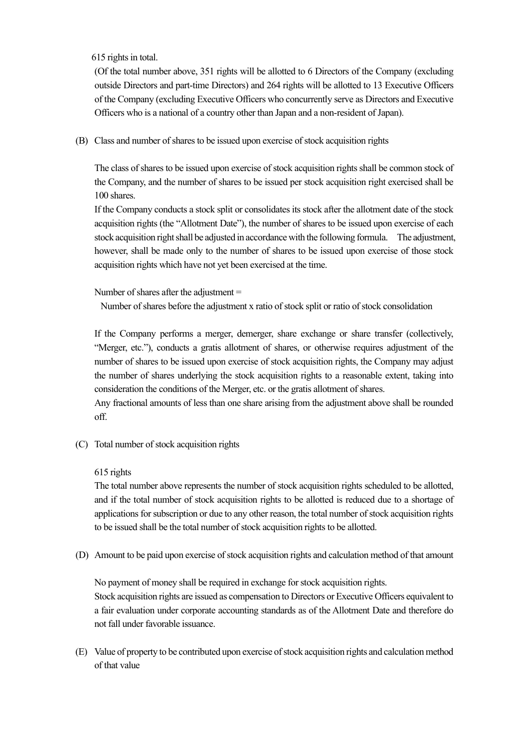615 rights in total.

(Of the total number above, 351 rights will be allotted to 6 Directors of the Company (excluding outside Directors and part-time Directors) and 264 rights will be allotted to 13 Executive Officers of the Company (excluding Executive Officers who concurrently serve as Directors and Executive Officers who is a national of a country other than Japan and a non-resident of Japan).

(B) Class and number of shares to be issued upon exercise of stock acquisition rights

The class of shares to be issued upon exercise of stock acquisition rights shall be common stock of the Company, and the number of shares to be issued per stock acquisition right exercised shall be 100 shares.

If the Company conducts a stock split or consolidates its stock after the allotment date of the stock acquisition rights (the "Allotment Date"), the number of shares to be issued upon exercise of each stock acquisition right shall be adjusted in accordance with the following formula. The adjustment, however, shall be made only to the number of shares to be issued upon exercise of those stock acquisition rights which have not yet been exercised at the time.

Number of shares after the adjustment =

Number of shares before the adjustment x ratio of stock split or ratio of stock consolidation

If the Company performs a merger, demerger, share exchange or share transfer (collectively, "Merger, etc."), conducts a gratis allotment of shares, or otherwise requires adjustment of the number of shares to be issued upon exercise of stock acquisition rights, the Company may adjust the number of shares underlying the stock acquisition rights to a reasonable extent, taking into consideration the conditions of the Merger, etc. or the gratis allotment of shares.

Any fractional amounts of less than one share arising from the adjustment above shall be rounded off.

(C) Total number of stock acquisition rights

615 rights

The total number above represents the number of stock acquisition rights scheduled to be allotted, and if the total number of stock acquisition rights to be allotted is reduced due to a shortage of applications for subscription or due to any other reason, the total number of stock acquisition rights to be issued shall be the total number of stock acquisition rights to be allotted.

(D) Amount to be paid upon exercise of stock acquisition rights and calculation method of that amount

No payment of money shall be required in exchange for stock acquisition rights. Stock acquisition rights are issued as compensation to Directors or Executive Officers equivalent to a fair evaluation under corporate accounting standards as of the Allotment Date and therefore do not fall under favorable issuance.

(E) Value of property to be contributed upon exercise of stock acquisition rights and calculation method of that value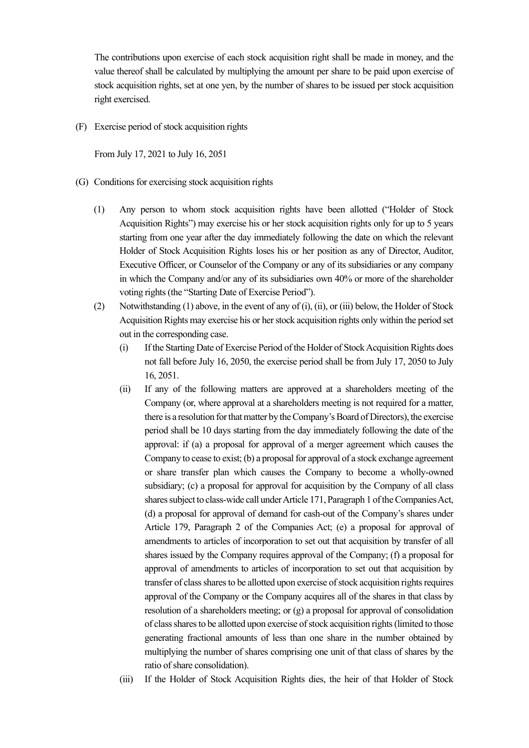The contributions upon exercise of each stock acquisition right shall be made in money, and the value thereof shall be calculated by multiplying the amount per share to be paid upon exercise of stock acquisition rights, set at one yen, by the number of shares to be issued per stock acquisition right exercised.

(F) Exercise period of stock acquisition rights

From July 17, 2021 to July 16, 2051

- (G) Conditions for exercising stock acquisition rights
	- (1) Any person to whom stock acquisition rights have been allotted ("Holder of Stock Acquisition Rights") may exercise his or her stock acquisition rights only for up to 5 years starting from one year after the day immediately following the date on which the relevant Holder of Stock Acquisition Rights loses his or her position as any of Director, Auditor, Executive Officer, or Counselor of the Company or any of its subsidiaries or any company in which the Company and/or any of its subsidiaries own 40% or more of the shareholder voting rights (the "Starting Date of Exercise Period").
	- (2) Notwithstanding (1) above, in the event of any of (i), (ii), or (iii) below, the Holder of Stock Acquisition Rights may exercise his or herstock acquisition rights only within the period set out in the corresponding case.
		- (i) If the Starting Date of Exercise Period of the Holder of Stock Acquisition Rights does not fall before July 16, 2050, the exercise period shall be from July 17, 2050 to July 16, 2051.
		- (ii) If any of the following matters are approved at a shareholders meeting of the Company (or, where approval at a shareholders meeting is not required for a matter, there is a resolution for that matter by the Company's Board of Directors), the exercise period shall be 10 days starting from the day immediately following the date of the approval: if (a) a proposal for approval of a merger agreement which causes the Company to cease to exist; (b) a proposal for approval of a stock exchange agreement or share transfer plan which causes the Company to become a wholly-owned subsidiary; (c) a proposal for approval for acquisition by the Company of all class shares subject to class-wide call under Article 171, Paragraph 1 of the Companies Act, (d) a proposal for approval of demand for cash-out of the Company's shares under Article 179, Paragraph 2 of the Companies Act; (e) a proposal for approval of amendments to articles of incorporation to set out that acquisition by transfer of all shares issued by the Company requires approval of the Company; (f) a proposal for approval of amendments to articles of incorporation to set out that acquisition by transfer of class shares to be allotted upon exercise of stock acquisition rights requires approval of the Company or the Company acquires all of the shares in that class by resolution of a shareholders meeting; or (g) a proposal for approval of consolidation of class shares to be allotted upon exercise of stock acquisition rights (limited to those generating fractional amounts of less than one share in the number obtained by multiplying the number of shares comprising one unit of that class of shares by the ratio of share consolidation).
		- (iii) If the Holder of Stock Acquisition Rights dies, the heir of that Holder of Stock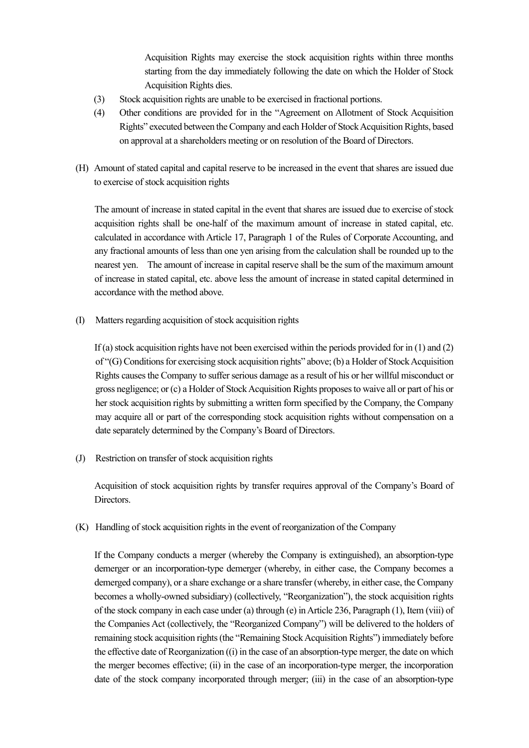Acquisition Rights may exercise the stock acquisition rights within three months starting from the day immediately following the date on which the Holder of Stock Acquisition Rights dies.

- (3) Stock acquisition rights are unable to be exercised in fractional portions.
- (4) Other conditions are provided for in the "Agreement on Allotment of Stock Acquisition Rights" executed between the Company and each Holder of Stock Acquisition Rights, based on approval at a shareholders meeting or on resolution of the Board of Directors.
- (H) Amount of stated capital and capital reserve to be increased in the event that shares are issued due to exercise of stock acquisition rights

The amount of increase in stated capital in the event that shares are issued due to exercise of stock acquisition rights shall be one-half of the maximum amount of increase in stated capital, etc. calculated in accordance with Article 17, Paragraph 1 of the Rules of Corporate Accounting, and any fractional amounts of less than one yen arising from the calculation shall be rounded up to the nearest yen. The amount of increase in capital reserve shall be the sum of the maximum amount of increase in stated capital, etc. above less the amount of increase in stated capital determined in accordance with the method above.

(I) Matters regarding acquisition of stock acquisition rights

If (a) stock acquisition rights have not been exercised within the periods provided for in (1) and (2) of "(G) Conditions for exercising stock acquisition rights" above; (b) a Holder of Stock Acquisition Rights causes the Company to sufferserious damage as a result of his or her willful misconduct or gross negligence; or (c) a Holder of Stock Acquisition Rights proposes to waive all or part of his or her stock acquisition rights by submitting a written form specified by the Company, the Company may acquire all or part of the corresponding stock acquisition rights without compensation on a date separately determined by the Company's Board of Directors.

(J) Restriction on transfer of stock acquisition rights

Acquisition of stock acquisition rights by transfer requires approval of the Company's Board of Directors.

(K) Handling of stock acquisition rightsin the event of reorganization of the Company

If the Company conducts a merger (whereby the Company is extinguished), an absorption-type demerger or an incorporation-type demerger (whereby, in either case, the Company becomes a demerged company), or a share exchange or a share transfer (whereby, in either case, the Company becomes a wholly-owned subsidiary) (collectively, "Reorganization"), the stock acquisition rights of the stock company in each case under (a) through (e) in Article 236, Paragraph (1), Item (viii) of the Companies Act (collectively, the "Reorganized Company") will be delivered to the holders of remaining stock acquisition rights (the "Remaining Stock Acquisition Rights") immediately before the effective date of Reorganization ((i) in the case of an absorption-type merger, the date on which the merger becomes effective; (ii) in the case of an incorporation-type merger, the incorporation date of the stock company incorporated through merger; (iii) in the case of an absorption-type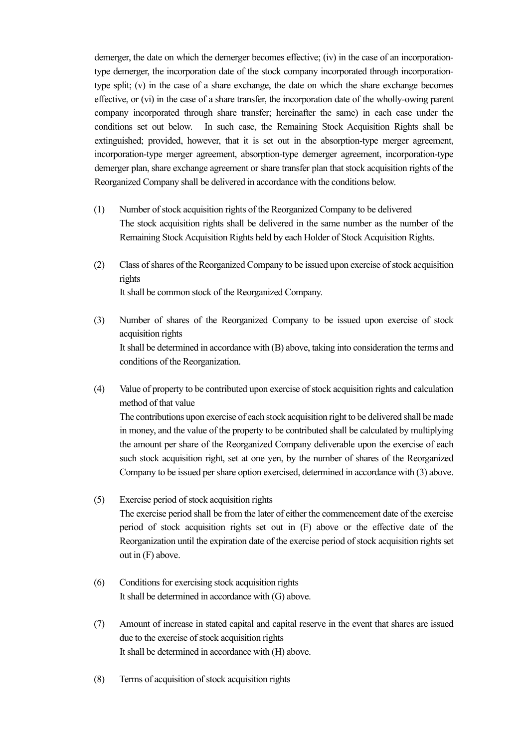demerger, the date on which the demerger becomes effective; (iv) in the case of an incorporationtype demerger, the incorporation date of the stock company incorporated through incorporationtype split; (v) in the case of a share exchange, the date on which the share exchange becomes effective, or (vi) in the case of a share transfer, the incorporation date of the wholly-owing parent company incorporated through share transfer; hereinafter the same) in each case under the conditions set out below. In such case, the Remaining Stock Acquisition Rights shall be extinguished; provided, however, that it is set out in the absorption-type merger agreement, incorporation-type merger agreement, absorption-type demerger agreement, incorporation-type demerger plan, share exchange agreement or share transfer plan that stock acquisition rights of the Reorganized Company shall be delivered in accordance with the conditions below.

- (1) Number of stock acquisition rights of the Reorganized Company to be delivered The stock acquisition rights shall be delivered in the same number as the number of the Remaining Stock Acquisition Rights held by each Holder of Stock Acquisition Rights.
- (2) Class of shares of the Reorganized Company to be issued upon exercise of stock acquisition rights It shall be common stock of the Reorganized Company.
- (3) Number of shares of the Reorganized Company to be issued upon exercise of stock acquisition rights It shall be determined in accordance with (B) above, taking into consideration the terms and conditions of the Reorganization.
- (4) Value of property to be contributed upon exercise of stock acquisition rights and calculation method of that value The contributions upon exercise of each stock acquisition right to be delivered shall be made in money, and the value of the property to be contributed shall be calculated by multiplying the amount per share of the Reorganized Company deliverable upon the exercise of each such stock acquisition right, set at one yen, by the number of shares of the Reorganized Company to be issued per share option exercised, determined in accordance with (3) above.
- (5) Exercise period of stock acquisition rights The exercise period shall be from the later of either the commencement date of the exercise period of stock acquisition rights set out in (F) above or the effective date of the Reorganization until the expiration date of the exercise period of stock acquisition rights set out in  $(F)$  above.
- (6) Conditions for exercising stock acquisition rights It shall be determined in accordance with (G) above.
- (7) Amount of increase in stated capital and capital reserve in the event that shares are issued due to the exercise of stock acquisition rights It shall be determined in accordance with (H) above.
- (8) Terms of acquisition of stock acquisition rights